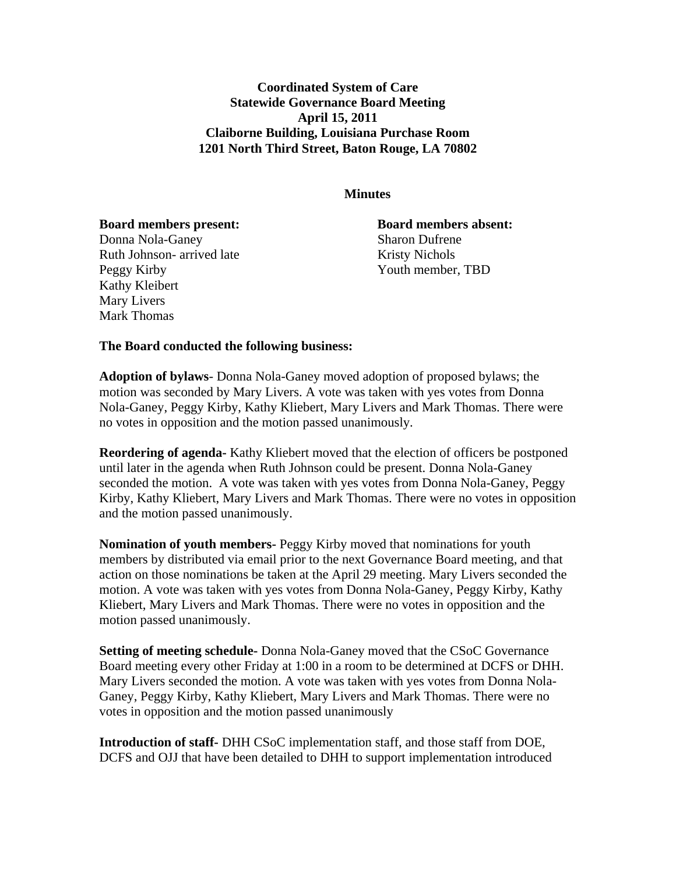**Coordinated System of Care Statewide Governance Board Meeting April 15, 2011 Claiborne Building, Louisiana Purchase Room 1201 North Third Street, Baton Rouge, LA 70802** 

## **Minutes**

**Board members present: Board members absent:**

Donna Nola-Ganey Sharon Dufrene Ruth Johnson- arrived late Kristy Nichols Peggy Kirby Youth member, TBD Kathy Kleibert Mary Livers Mark Thomas

## **The Board conducted the following business:**

**Adoption of bylaws**- Donna Nola-Ganey moved adoption of proposed bylaws; the motion was seconded by Mary Livers. A vote was taken with yes votes from Donna Nola-Ganey, Peggy Kirby, Kathy Kliebert, Mary Livers and Mark Thomas. There were no votes in opposition and the motion passed unanimously.

**Reordering of agenda-** Kathy Kliebert moved that the election of officers be postponed until later in the agenda when Ruth Johnson could be present. Donna Nola-Ganey seconded the motion. A vote was taken with yes votes from Donna Nola-Ganey, Peggy Kirby, Kathy Kliebert, Mary Livers and Mark Thomas. There were no votes in opposition and the motion passed unanimously.

**Nomination of youth members-** Peggy Kirby moved that nominations for youth members by distributed via email prior to the next Governance Board meeting, and that action on those nominations be taken at the April 29 meeting. Mary Livers seconded the motion. A vote was taken with yes votes from Donna Nola-Ganey, Peggy Kirby, Kathy Kliebert, Mary Livers and Mark Thomas. There were no votes in opposition and the motion passed unanimously.

**Setting of meeting schedule-** Donna Nola-Ganey moved that the CSoC Governance Board meeting every other Friday at 1:00 in a room to be determined at DCFS or DHH. Mary Livers seconded the motion. A vote was taken with yes votes from Donna Nola-Ganey, Peggy Kirby, Kathy Kliebert, Mary Livers and Mark Thomas. There were no votes in opposition and the motion passed unanimously

**Introduction of staff-** DHH CSoC implementation staff, and those staff from DOE, DCFS and OJJ that have been detailed to DHH to support implementation introduced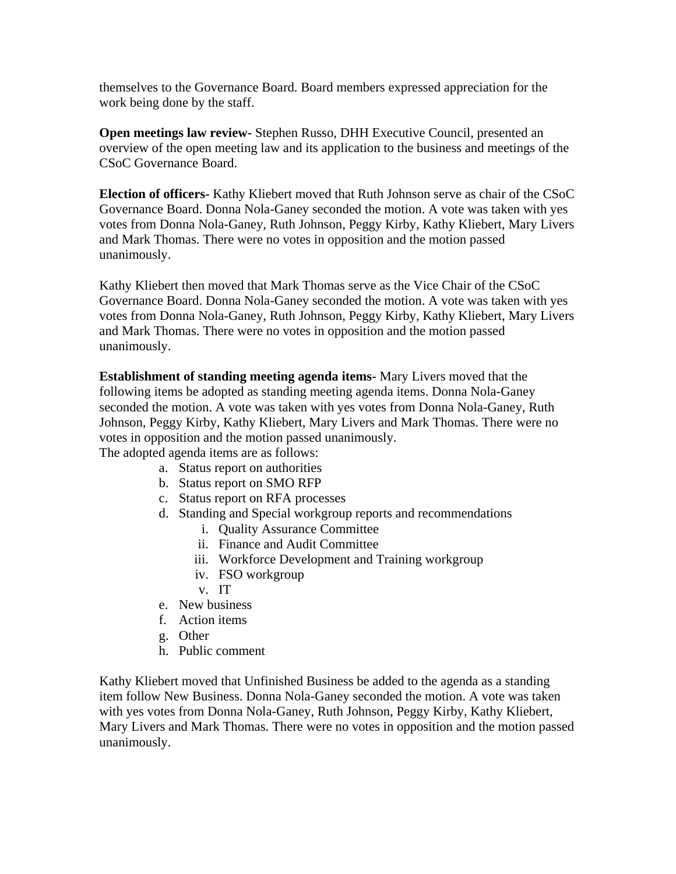themselves to the Governance Board. Board members expressed appreciation for the work being done by the staff.

**Open meetings law review-** Stephen Russo, DHH Executive Council, presented an overview of the open meeting law and its application to the business and meetings of the CSoC Governance Board.

**Election of officers-** Kathy Kliebert moved that Ruth Johnson serve as chair of the CSoC Governance Board. Donna Nola-Ganey seconded the motion. A vote was taken with yes votes from Donna Nola-Ganey, Ruth Johnson, Peggy Kirby, Kathy Kliebert, Mary Livers and Mark Thomas. There were no votes in opposition and the motion passed unanimously.

Kathy Kliebert then moved that Mark Thomas serve as the Vice Chair of the CSoC Governance Board. Donna Nola-Ganey seconded the motion. A vote was taken with yes votes from Donna Nola-Ganey, Ruth Johnson, Peggy Kirby, Kathy Kliebert, Mary Livers and Mark Thomas. There were no votes in opposition and the motion passed unanimously.

**Establishment of standing meeting agenda items-** Mary Livers moved that the following items be adopted as standing meeting agenda items. Donna Nola-Ganey seconded the motion. A vote was taken with yes votes from Donna Nola-Ganey, Ruth Johnson, Peggy Kirby, Kathy Kliebert, Mary Livers and Mark Thomas. There were no votes in opposition and the motion passed unanimously. The adopted agenda items are as follows:

a. Status report on authorities

- b. Status report on SMO RFP
- c. Status report on RFA processes
- d. Standing and Special workgroup reports and recommendations
	- i. Quality Assurance Committee
	- ii. Finance and Audit Committee
	- iii. Workforce Development and Training workgroup
	- iv. FSO workgroup
	- v. IT
- e. New business
- f. Action items
- g. Other
- h. Public comment

Kathy Kliebert moved that Unfinished Business be added to the agenda as a standing item follow New Business. Donna Nola-Ganey seconded the motion. A vote was taken with yes votes from Donna Nola-Ganey, Ruth Johnson, Peggy Kirby, Kathy Kliebert, Mary Livers and Mark Thomas. There were no votes in opposition and the motion passed unanimously.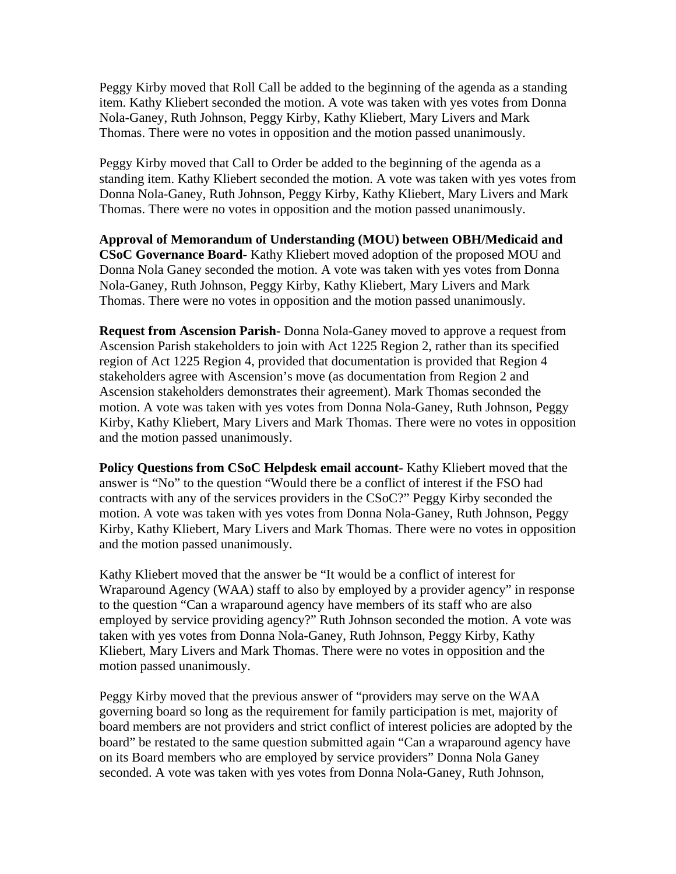Peggy Kirby moved that Roll Call be added to the beginning of the agenda as a standing item. Kathy Kliebert seconded the motion. A vote was taken with yes votes from Donna Nola-Ganey, Ruth Johnson, Peggy Kirby, Kathy Kliebert, Mary Livers and Mark Thomas. There were no votes in opposition and the motion passed unanimously.

Peggy Kirby moved that Call to Order be added to the beginning of the agenda as a standing item. Kathy Kliebert seconded the motion. A vote was taken with yes votes from Donna Nola-Ganey, Ruth Johnson, Peggy Kirby, Kathy Kliebert, Mary Livers and Mark Thomas. There were no votes in opposition and the motion passed unanimously.

**Approval of Memorandum of Understanding (MOU) between OBH/Medicaid and CSoC Governance Board**- Kathy Kliebert moved adoption of the proposed MOU and Donna Nola Ganey seconded the motion. A vote was taken with yes votes from Donna Nola-Ganey, Ruth Johnson, Peggy Kirby, Kathy Kliebert, Mary Livers and Mark Thomas. There were no votes in opposition and the motion passed unanimously.

**Request from Ascension Parish-** Donna Nola-Ganey moved to approve a request from Ascension Parish stakeholders to join with Act 1225 Region 2, rather than its specified region of Act 1225 Region 4, provided that documentation is provided that Region 4 stakeholders agree with Ascension's move (as documentation from Region 2 and Ascension stakeholders demonstrates their agreement). Mark Thomas seconded the motion. A vote was taken with yes votes from Donna Nola-Ganey, Ruth Johnson, Peggy Kirby, Kathy Kliebert, Mary Livers and Mark Thomas. There were no votes in opposition and the motion passed unanimously.

**Policy Questions from CSoC Helpdesk email account-** Kathy Kliebert moved that the answer is "No" to the question "Would there be a conflict of interest if the FSO had contracts with any of the services providers in the CSoC?" Peggy Kirby seconded the motion. A vote was taken with yes votes from Donna Nola-Ganey, Ruth Johnson, Peggy Kirby, Kathy Kliebert, Mary Livers and Mark Thomas. There were no votes in opposition and the motion passed unanimously.

Kathy Kliebert moved that the answer be "It would be a conflict of interest for Wraparound Agency (WAA) staff to also by employed by a provider agency" in response to the question "Can a wraparound agency have members of its staff who are also employed by service providing agency?" Ruth Johnson seconded the motion. A vote was taken with yes votes from Donna Nola-Ganey, Ruth Johnson, Peggy Kirby, Kathy Kliebert, Mary Livers and Mark Thomas. There were no votes in opposition and the motion passed unanimously.

Peggy Kirby moved that the previous answer of "providers may serve on the WAA governing board so long as the requirement for family participation is met, majority of board members are not providers and strict conflict of interest policies are adopted by the board" be restated to the same question submitted again "Can a wraparound agency have on its Board members who are employed by service providers" Donna Nola Ganey seconded. A vote was taken with yes votes from Donna Nola-Ganey, Ruth Johnson,